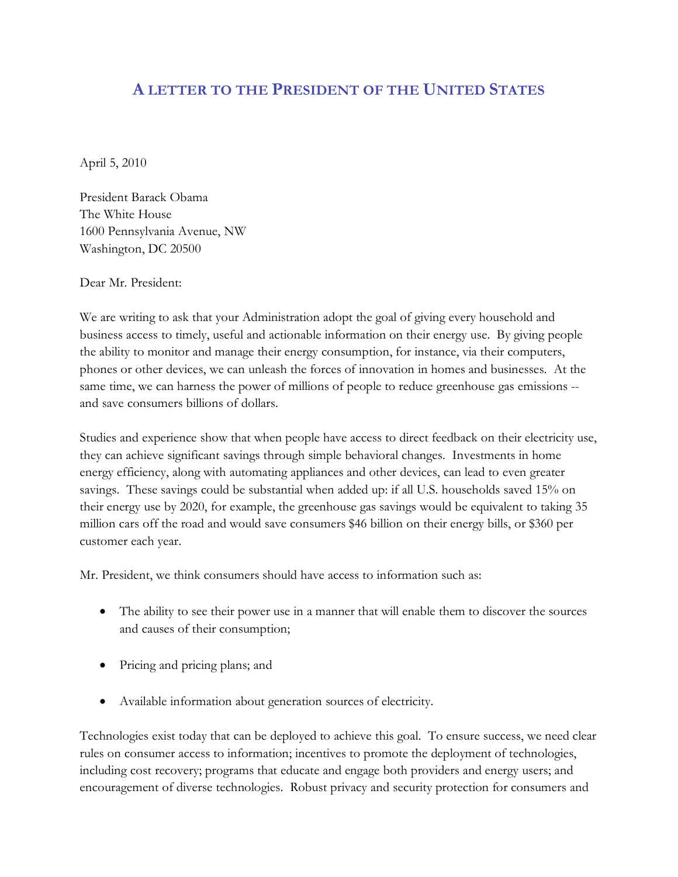## **A LETTER TO THE PRESIDENT OF THE UNITED STATES**

April 5, 2010

President Barack Obama The White House 1600 Pennsylvania Avenue, NW Washington, DC 20500

Dear Mr. President:

We are writing to ask that your Administration adopt the goal of giving every household and business access to timely, useful and actionable information on their energy use. By giving people the ability to monitor and manage their energy consumption, for instance, via their computers, phones or other devices, we can unleash the forces of innovation in homes and businesses. At the same time, we can harness the power of millions of people to reduce greenhouse gas emissions -and save consumers billions of dollars.

Studies and experience show that when people have access to direct feedback on their electricity use, they can achieve significant savings through simple behavioral changes. Investments in home energy efficiency, along with automating appliances and other devices, can lead to even greater savings. These savings could be substantial when added up: if all U.S. households saved 15% on their energy use by 2020, for example, the greenhouse gas savings would be equivalent to taking 35 million cars off the road and would save consumers \$46 billion on their energy bills, or \$360 per customer each year.

Mr. President, we think consumers should have access to information such as:

- The ability to see their power use in a manner that will enable them to discover the sources and causes of their consumption;
- Pricing and pricing plans; and
- Available information about generation sources of electricity.

Technologies exist today that can be deployed to achieve this goal. To ensure success, we need clear rules on consumer access to information; incentives to promote the deployment of technologies, including cost recovery; programs that educate and engage both providers and energy users; and encouragement of diverse technologies. Robust privacy and security protection for consumers and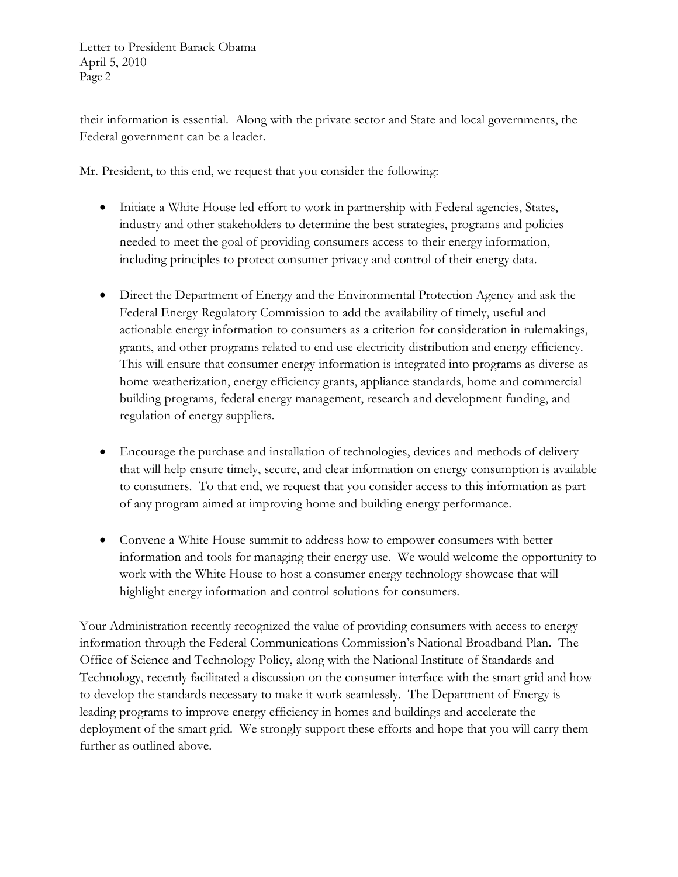Letter to President Barack Obama April 5, 2010 Page 2

their information is essential. Along with the private sector and State and local governments, the Federal government can be a leader.

Mr. President, to this end, we request that you consider the following:

- Initiate a White House led effort to work in partnership with Federal agencies, States, industry and other stakeholders to determine the best strategies, programs and policies needed to meet the goal of providing consumers access to their energy information, including principles to protect consumer privacy and control of their energy data.
- Direct the Department of Energy and the Environmental Protection Agency and ask the Federal Energy Regulatory Commission to add the availability of timely, useful and actionable energy information to consumers as a criterion for consideration in rulemakings, grants, and other programs related to end use electricity distribution and energy efficiency. This will ensure that consumer energy information is integrated into programs as diverse as home weatherization, energy efficiency grants, appliance standards, home and commercial building programs, federal energy management, research and development funding, and regulation of energy suppliers.
- Encourage the purchase and installation of technologies, devices and methods of delivery that will help ensure timely, secure, and clear information on energy consumption is available to consumers. To that end, we request that you consider access to this information as part of any program aimed at improving home and building energy performance.
- Convene a White House summit to address how to empower consumers with better information and tools for managing their energy use. We would welcome the opportunity to work with the White House to host a consumer energy technology showcase that will highlight energy information and control solutions for consumers.

Your Administration recently recognized the value of providing consumers with access to energy information through the Federal Communications Commission's National Broadband Plan. The Office of Science and Technology Policy, along with the National Institute of Standards and Technology, recently facilitated a discussion on the consumer interface with the smart grid and how to develop the standards necessary to make it work seamlessly. The Department of Energy is leading programs to improve energy efficiency in homes and buildings and accelerate the deployment of the smart grid. We strongly support these efforts and hope that you will carry them further as outlined above.